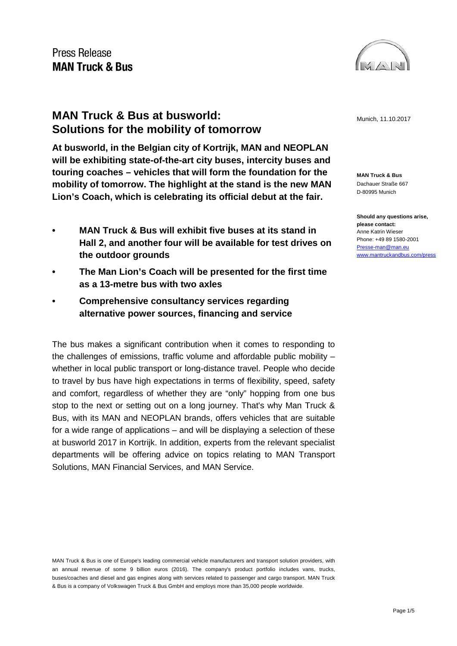

# **MAN Truck & Bus at busworld:**  $M = 11.10 \cdot 2017$ **Solutions for the mobility of tomorrow**

**At busworld, in the Belgian city of Kortrijk, MAN and NEOPLAN will be exhibiting state-of-the-art city buses, intercity buses and touring coaches – vehicles that will form the foundation for the mobility of tomorrow. The highlight at the stand is the new MAN Lion's Coach, which is celebrating its official debut at the fair.**

- **• MAN Truck & Bus will exhibit five buses at its stand in Hall 2, and another four will be available for test drives on the outdoor grounds**
- **• The Man Lion's Coach will be presented for the first time as a 13-metre bus with two axles**
- **• Comprehensive consultancy services regarding alternative power sources, financing and service**

The bus makes a significant contribution when it comes to responding to the challenges of emissions, traffic volume and affordable public mobility – whether in local public transport or long-distance travel. People who decide to travel by bus have high expectations in terms of flexibility, speed, safety and comfort, regardless of whether they are "only" hopping from one bus stop to the next or setting out on a long journey. That's why Man Truck & Bus, with its MAN and NEOPLAN brands, offers vehicles that are suitable for a wide range of applications – and will be displaying a selection of these at busworld 2017 in Kortrijk. In addition, experts from the relevant specialist departments will be offering advice on topics relating to MAN Transport Solutions, MAN Financial Services, and MAN Service.

MAN Truck & Bus is one of Europe's leading commercial vehicle manufacturers and transport solution providers, with an annual revenue of some 9 billion euros (2016). The company's product portfolio includes vans, trucks, buses/coaches and diesel and gas engines along with services related to passenger and cargo transport. MAN Truck & Bus is a company of Volkswagen Truck & Bus GmbH and employs more than 35,000 people worldwide.

**MAN Truck & Bus** Dachauer Straße 667 D-80995 Munich

**Should any questions arise, please contact:** Anne Katrin Wieser Phone: +49 89 1580-2001 [Presse-man@man.eu](mailto:Presse-man@man.eu) [www.mantruckandbus.com/press](http://www.mantruckandbus.com/press)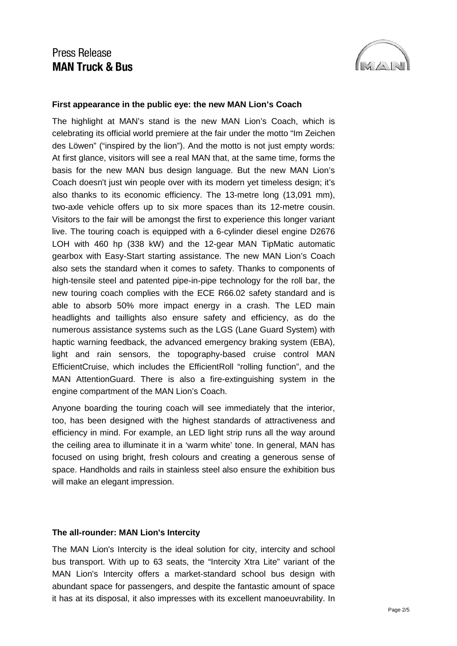

### **First appearance in the public eye: the new MAN Lion's Coach**

The highlight at MAN's stand is the new MAN Lion's Coach, which is celebrating its official world premiere at the fair under the motto "Im Zeichen des Löwen" ("inspired by the lion"). And the motto is not just empty words: At first glance, visitors will see a real MAN that, at the same time, forms the basis for the new MAN bus design language. But the new MAN Lion's Coach doesn't just win people over with its modern yet timeless design; it's also thanks to its economic efficiency. The 13-metre long (13,091 mm), two-axle vehicle offers up to six more spaces than its 12-metre cousin. Visitors to the fair will be amongst the first to experience this longer variant live. The touring coach is equipped with a 6-cylinder diesel engine D2676 LOH with 460 hp (338 kW) and the 12-gear MAN TipMatic automatic gearbox with Easy-Start starting assistance. The new MAN Lion's Coach also sets the standard when it comes to safety. Thanks to components of high-tensile steel and patented pipe-in-pipe technology for the roll bar, the new touring coach complies with the ECE R66.02 safety standard and is able to absorb 50% more impact energy in a crash. The LED main headlights and taillights also ensure safety and efficiency, as do the numerous assistance systems such as the LGS (Lane Guard System) with haptic warning feedback, the advanced emergency braking system (EBA), light and rain sensors, the topography-based cruise control MAN EfficientCruise, which includes the EfficientRoll "rolling function", and the MAN AttentionGuard. There is also a fire-extinguishing system in the engine compartment of the MAN Lion's Coach.

Anyone boarding the touring coach will see immediately that the interior, too, has been designed with the highest standards of attractiveness and efficiency in mind. For example, an LED light strip runs all the way around the ceiling area to illuminate it in a 'warm white' tone. In general, MAN has focused on using bright, fresh colours and creating a generous sense of space. Handholds and rails in stainless steel also ensure the exhibition bus will make an elegant impression.

#### **The all-rounder: MAN Lion's Intercity**

The MAN Lion's Intercity is the ideal solution for city, intercity and school bus transport. With up to 63 seats, the "Intercity Xtra Lite" variant of the MAN Lion's Intercity offers a market-standard school bus design with abundant space for passengers, and despite the fantastic amount of space it has at its disposal, it also impresses with its excellent manoeuvrability. In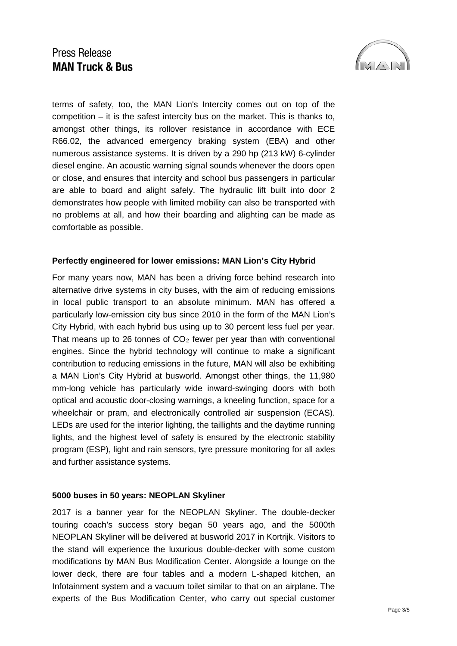

terms of safety, too, the MAN Lion's Intercity comes out on top of the competition – it is the safest intercity bus on the market. This is thanks to, amongst other things, its rollover resistance in accordance with ECE R66.02, the advanced emergency braking system (EBA) and other numerous assistance systems. It is driven by a 290 hp (213 kW) 6-cylinder diesel engine. An acoustic warning signal sounds whenever the doors open or close, and ensures that intercity and school bus passengers in particular are able to board and alight safely. The hydraulic lift built into door 2 demonstrates how people with limited mobility can also be transported with no problems at all, and how their boarding and alighting can be made as comfortable as possible.

### **Perfectly engineered for lower emissions: MAN Lion's City Hybrid**

For many years now, MAN has been a driving force behind research into alternative drive systems in city buses, with the aim of reducing emissions in local public transport to an absolute minimum. MAN has offered a particularly low-emission city bus since 2010 in the form of the MAN Lion's City Hybrid, with each hybrid bus using up to 30 percent less fuel per year. That means up to 26 tonnes of  $CO<sub>2</sub>$  fewer per year than with conventional engines. Since the hybrid technology will continue to make a significant contribution to reducing emissions in the future, MAN will also be exhibiting a MAN Lion's City Hybrid at busworld. Amongst other things, the 11,980 mm-long vehicle has particularly wide inward-swinging doors with both optical and acoustic door-closing warnings, a kneeling function, space for a wheelchair or pram, and electronically controlled air suspension (ECAS). LEDs are used for the interior lighting, the taillights and the daytime running lights, and the highest level of safety is ensured by the electronic stability program (ESP), light and rain sensors, tyre pressure monitoring for all axles and further assistance systems.

### **5000 buses in 50 years: NEOPLAN Skyliner**

2017 is a banner year for the NEOPLAN Skyliner. The double-decker touring coach's success story began 50 years ago, and the 5000th NEOPLAN Skyliner will be delivered at busworld 2017 in Kortrijk. Visitors to the stand will experience the luxurious double-decker with some custom modifications by MAN Bus Modification Center. Alongside a lounge on the lower deck, there are four tables and a modern L-shaped kitchen, an Infotainment system and a vacuum toilet similar to that on an airplane. The experts of the Bus Modification Center, who carry out special customer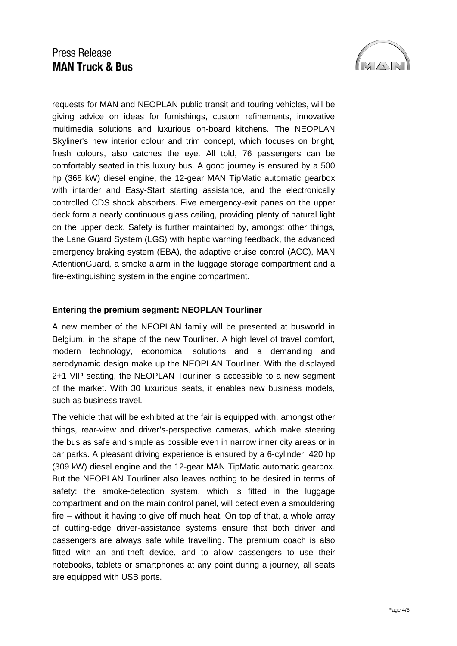

requests for MAN and NEOPLAN public transit and touring vehicles, will be giving advice on ideas for furnishings, custom refinements, innovative multimedia solutions and luxurious on-board kitchens. The NEOPLAN Skyliner's new interior colour and trim concept, which focuses on bright, fresh colours, also catches the eye. All told, 76 passengers can be comfortably seated in this luxury bus. A good journey is ensured by a 500 hp (368 kW) diesel engine, the 12-gear MAN TipMatic automatic gearbox with intarder and Easy-Start starting assistance, and the electronically controlled CDS shock absorbers. Five emergency-exit panes on the upper deck form a nearly continuous glass ceiling, providing plenty of natural light on the upper deck. Safety is further maintained by, amongst other things, the Lane Guard System (LGS) with haptic warning feedback, the advanced emergency braking system (EBA), the adaptive cruise control (ACC), MAN AttentionGuard, a smoke alarm in the luggage storage compartment and a fire-extinguishing system in the engine compartment.

### **Entering the premium segment: NEOPLAN Tourliner**

A new member of the NEOPLAN family will be presented at busworld in Belgium, in the shape of the new Tourliner. A high level of travel comfort, modern technology, economical solutions and a demanding and aerodynamic design make up the NEOPLAN Tourliner. With the displayed 2+1 VIP seating, the NEOPLAN Tourliner is accessible to a new segment of the market. With 30 luxurious seats, it enables new business models, such as business travel.

The vehicle that will be exhibited at the fair is equipped with, amongst other things, rear-view and driver's-perspective cameras, which make steering the bus as safe and simple as possible even in narrow inner city areas or in car parks. A pleasant driving experience is ensured by a 6-cylinder, 420 hp (309 kW) diesel engine and the 12-gear MAN TipMatic automatic gearbox. But the NEOPLAN Tourliner also leaves nothing to be desired in terms of safety: the smoke-detection system, which is fitted in the luggage compartment and on the main control panel, will detect even a smouldering fire – without it having to give off much heat. On top of that, a whole array of cutting-edge driver-assistance systems ensure that both driver and passengers are always safe while travelling. The premium coach is also fitted with an anti-theft device, and to allow passengers to use their notebooks, tablets or smartphones at any point during a journey, all seats are equipped with USB ports.